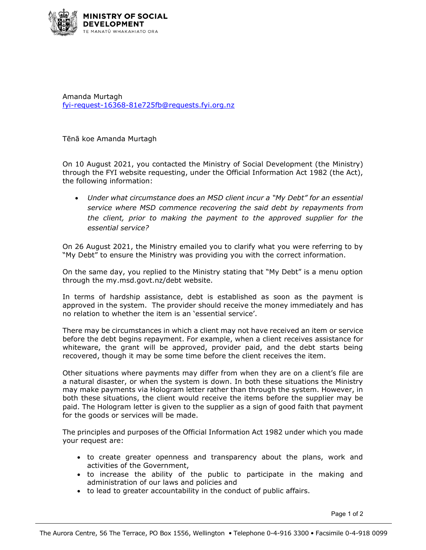

Amanda Murtagh [fyi-request-16368-81e725fb@requests.fyi.org.nz](mailto:xxxxxxxxxxxxxxxxxxxxxxxxxx@xxxxxxxx.xxx.xxx.xx)

Tēnā koe Amanda Murtagh

On 10 August 2021, you contacted the Ministry of Social Development (the Ministry) through the FYI website requesting, under the Official Information Act 1982 (the Act), the following information:

• *Under what circumstance does an MSD client incur a "My Debt" for an essential service where MSD commence recovering the said debt by repayments from the client, prior to making the payment to the approved supplier for the essential service?*

On 26 August 2021, the Ministry emailed you to clarify what you were referring to by "My Debt" to ensure the Ministry was providing you with the correct information.

On the same day, you replied to the Ministry stating that "My Debt" is a menu option through the my.msd.govt.nz/debt website.

In terms of hardship assistance, debt is established as soon as the payment is approved in the system. The provider should receive the money immediately and has no relation to whether the item is an 'essential service'.

There may be circumstances in which a client may not have received an item or service before the debt begins repayment. For example, when a client receives assistance for whiteware, the grant will be approved, provider paid, and the debt starts being recovered, though it may be some time before the client receives the item.

Other situations where payments may differ from when they are on a client's file are a natural disaster, or when the system is down. In both these situations the Ministry may make payments via Hologram letter rather than through the system. However, in both these situations, the client would receive the items before the supplier may be paid. The Hologram letter is given to the supplier as a sign of good faith that payment for the goods or services will be made.

The principles and purposes of the Official Information Act 1982 under which you made your request are:

- to create greater openness and transparency about the plans, work and activities of the Government,
- to increase the ability of the public to participate in the making and administration of our laws and policies and
- to lead to greater accountability in the conduct of public affairs.

Page 1 of 2